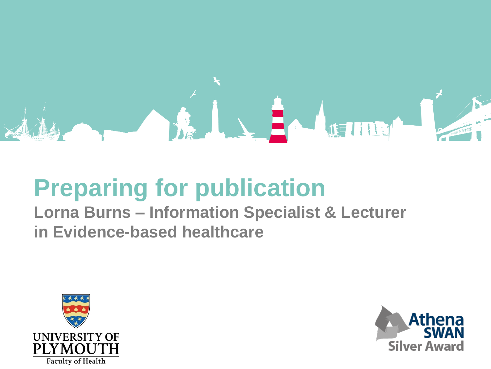

# **Preparing for publication**

**Lorna Burns – Information Specialist & Lecturer in Evidence-based healthcare**



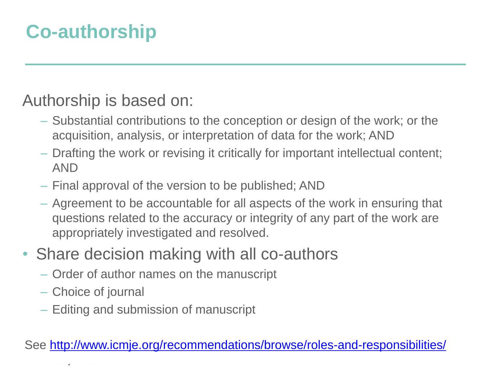### **Co-authorship**

#### Authorship is based on:

- Substantial contributions to the conception or design of the work; or the acquisition, analysis, or interpretation of data for the work; AND
- Drafting the work or revising it critically for important intellectual content; AND
- Final approval of the version to be published; AND
- Agreement to be accountable for all aspects of the work in ensuring that questions related to the accuracy or integrity of any part of the work are appropriately investigated and resolved.
- Share decision making with all co-authors
	- Order of author names on the manuscript
	- Choice of journal
	- Editing and submission of manuscript

See<http://www.icmje.org/recommendations/browse/roles-and-responsibilities/>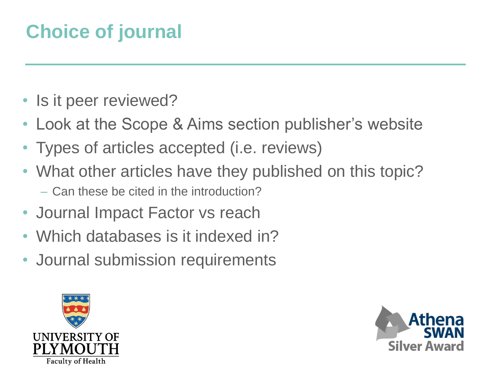## **Choice of journal**

- Is it peer reviewed?
- Look at the Scope & Aims section publisher's website
- Types of articles accepted (i.e. reviews)
- What other articles have they published on this topic?
	- Can these be cited in the introduction?
- Journal Impact Factor vs reach
- Which databases is it indexed in?
- Journal submission requirements



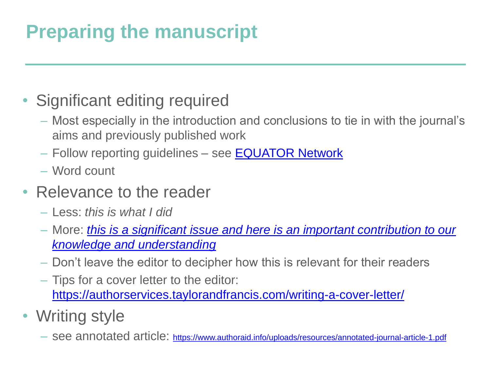## **Preparing the manuscript**

#### • Significant editing required

- Most especially in the introduction and conclusions to tie in with the journal's aims and previously published work
- Follow reporting guidelines see [EQUATOR Network](https://www.equator-network.org/toolkits/writing-research/)
- Word count
- Relevance to the reader
	- Less: *this is what I did*
	- More: *[this is a significant issue and here is an important contribution to our](https://authorservices.taylorandfrancis.com/can-you-publish-and-still-perish/?utm_source=CPB&utm_medium=cms&utm_campaign=JMS05510)  knowledge and understanding*
	- Don't leave the editor to decipher how this is relevant for their readers
	- Tips for a cover letter to the editor: <https://authorservices.taylorandfrancis.com/writing-a-cover-letter/>
- Writing style
	- see annotated article: <https://www.authoraid.info/uploads/resources/annotated-journal-article-1.pdf>